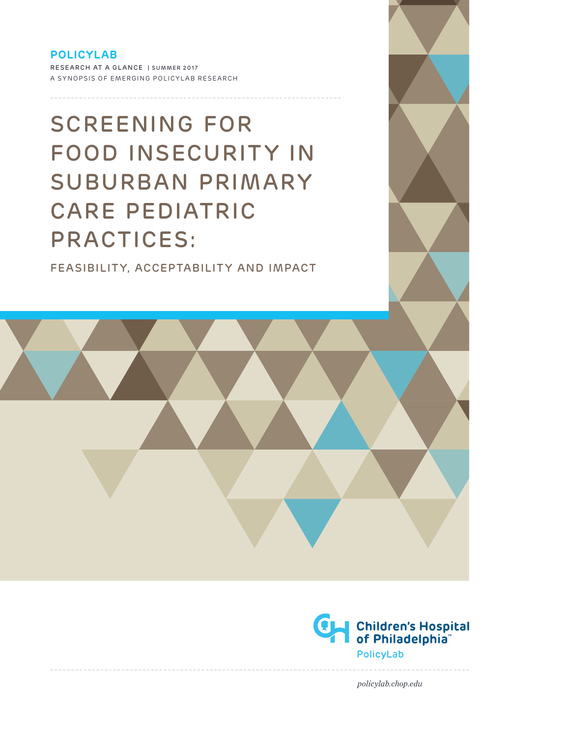# **POLICYLAB**

RESEARCH AT A GLANCE | SUMMER 2017 A SYNOPSIS OF EMERGING POLICYLAB RESEARCH

# SCREENING FOR FOOD INSECURITY IN SUBURBAN PRIMARY CARE PEDIATRIC PRACTICES:

FEASIBILITY, ACCEPTABILITY AND IMPACT



*policylab.chop.edu*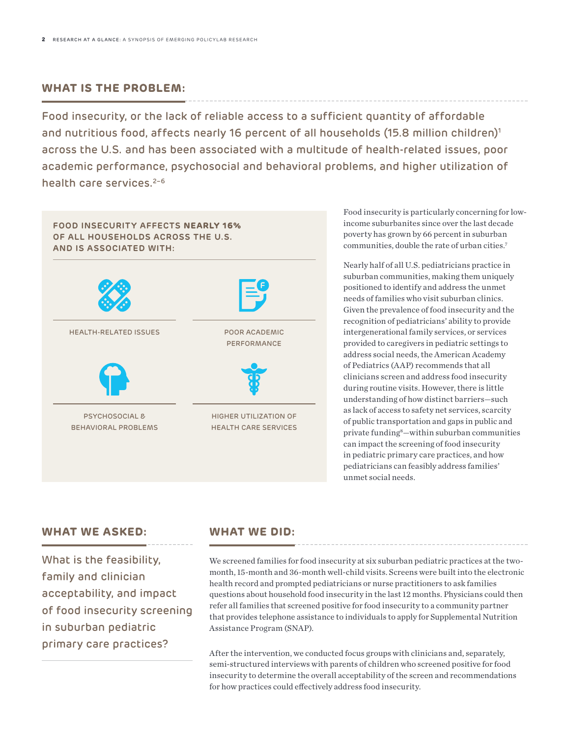# **WHAT IS THE PROBLEM:**

Food insecurity, or the lack of reliable access to a sufficient quantity of affordable and nutritious food, affects nearly 16 percent of all households (15.8 million children)<sup>1</sup> across the U.S. and has been associated with a multitude of health-related issues, poor academic performance, psychosocial and behavioral problems, and higher utilization of health care services. $2-6$ 



Food insecurity is particularly concerning for lowincome suburbanites since over the last decade poverty has grown by 66 percent in suburban communities, double the rate of urban cities.7

Nearly half of all U.S. pediatricians practice in suburban communities, making them uniquely positioned to identify and address the unmet needs of families who visit suburban clinics. Given the prevalence of food insecurity and the recognition of pediatricians' ability to provide intergenerational family services, or services provided to caregivers in pediatric settings to address social needs, the American Academy of Pediatrics (AAP) recommends that all clinicians screen and address food insecurity during routine visits. However, there is little understanding of how distinct barriers—such as lack of access to safety net services, scarcity of public transportation and gaps in public and private funding8 —within suburban communities can impact the screening of food insecurity in pediatric primary care practices, and how pediatricians can feasibly address families' unmet social needs.

### **WHAT WE ASKED:**

What is the feasibility, family and clinician acceptability, and impact of food insecurity screening in suburban pediatric primary care practices?

### **WHAT WE DID:**

We screened families for food insecurity at six suburban pediatric practices at the twomonth, 15-month and 36-month well-child visits. Screens were built into the electronic health record and prompted pediatricians or nurse practitioners to ask families questions about household food insecurity in the last 12 months. Physicians could then refer all families that screened positive for food insecurity to a community partner that provides telephone assistance to individuals to apply for Supplemental Nutrition Assistance Program (SNAP).

After the intervention, we conducted focus groups with clinicians and, separately, semi-structured interviews with parents of children who screened positive for food insecurity to determine the overall acceptability of the screen and recommendations for how practices could effectively address food insecurity.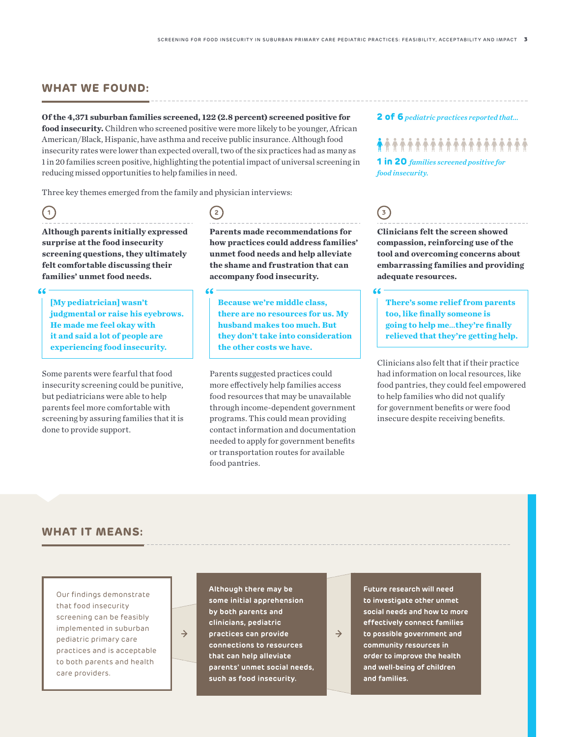### **WHAT WE FOUND:**

#### **Of the 4,371 suburban families screened, 122 (2.8 percent) screened positive for**

**food insecurity.** Children who screened positive were more likely to be younger, African American/Black, Hispanic, have asthma and receive public insurance. Although food insecurity rates were lower than expected overall, two of the six practices had as many as 1 in 20 families screen positive, highlighting the potential impact of universal screening in reducing missed opportunities to help families in need.

Three key themes emerged from the family and physician interviews:

# **1**

**Although parents initially expressed surprise at the food insecurity screening questions, they ultimately felt comfortable discussing their families' unmet food needs.**

### $66$

**[My pediatrician] wasn't judgmental or raise his eyebrows. He made me feel okay with it and said a lot of people are experiencing food insecurity.**

Some parents were fearful that food insecurity screening could be punitive, but pediatricians were able to help parents feel more comfortable with screening by assuring families that it is done to provide support.

# **2**

 $66$ 

**Parents made recommendations for how practices could address families' unmet food needs and help alleviate the shame and frustration that can accompany food insecurity.**

**Because we're middle class, there are no resources for us. My husband makes too much. But they don't take into consideration the other costs we have.**

Parents suggested practices could more effectively help families access food resources that may be unavailable through income-dependent government programs. This could mean providing contact information and documentation needed to apply for government benefits or transportation routes for available food pantries.

#### **2 of 6***pediatric practices reported that…*

# **\*\*\*\*\*\*\*\*\*\*\*\*\*\*\*\*\*\*\***

**1 in 20** *families screened positive for food insecurity.*

# **3**

**Clinicians felt the screen showed compassion, reinforcing use of the tool and overcoming concerns about embarrassing families and providing adequate resources.**

#### $\epsilon$

**There's some relief from parents too, like finally someone is going to help me***…***they're finally relieved that they're getting help.**

Clinicians also felt that if their practice had information on local resources, like food pantries, they could feel empowered to help families who did not qualify for government benefits or were food insecure despite receiving benefits.

# **WHAT IT MEANS:**

Our findings demonstrate that food insecurity screening can be feasibly implemented in suburban pediatric primary care practices and is acceptable to both parents and health care providers.

 $\rightarrow$ 

**Although there may be some initial apprehension by both parents and clinicians, pediatric practices can provide connections to resources that can help alleviate parents' unmet social needs, such as food insecurity.**

**Future research will need to investigate other unmet social needs and how to more effectively connect families to possible government and community resources in order to improve the health and well-being of children and families.**

 $\rightarrow$